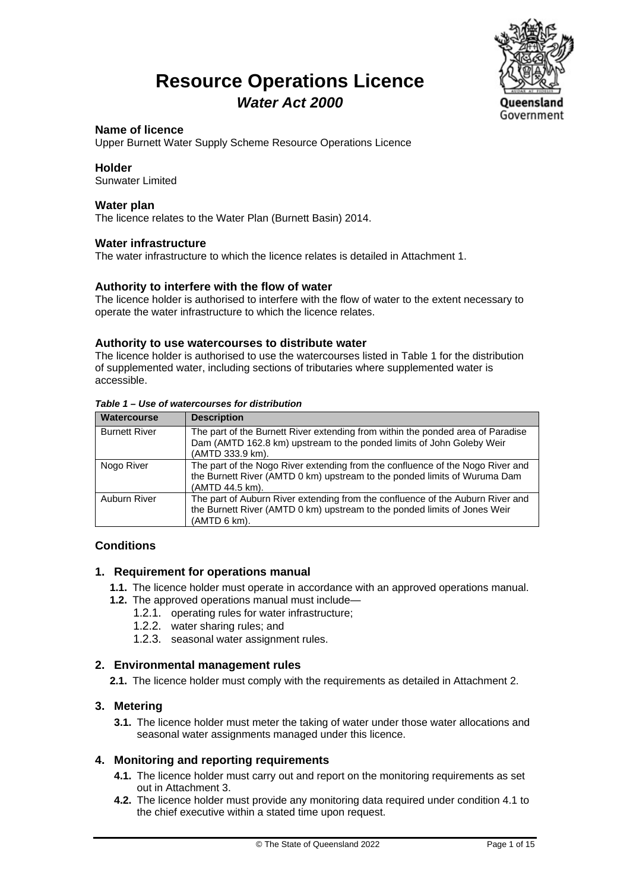### **Resource Operations Licence** *Water Act 2000*



### **Name of licence**

Upper Burnett Water Supply Scheme Resource Operations Licence

### **Holder**

Sunwater Limited

#### **Water plan**

The licence relates to the Water Plan (Burnett Basin) 2014.

### **Water infrastructure**

The water infrastructure to which the licence relates is detailed in Attachment 1.

### **Authority to interfere with the flow of water**

The licence holder is authorised to interfere with the flow of water to the extent necessary to operate the water infrastructure to which the licence relates.

### **Authority to use watercourses to distribute water**

The licence holder is authorised to use the watercourses listed in Table 1 for the distribution of supplemented water, including sections of tributaries where supplemented water is accessible.

| Table 1 – Use of watercourses for distribution |                                                                                                                                                                                |
|------------------------------------------------|--------------------------------------------------------------------------------------------------------------------------------------------------------------------------------|
| <b>Watercourse</b>                             | <b>Description</b>                                                                                                                                                             |
| <b>Burnett River</b>                           | The part of the Burnett River extending from within the ponded area of Paradise<br>Dam (AMTD 162.8 km) upstream to the ponded limits of John Goleby Weir<br>(AMTD 333.9 km).   |
| Nogo River                                     | The part of the Nogo River extending from the confluence of the Nogo River and<br>the Burnett River (AMTD 0 km) upstream to the ponded limits of Wuruma Dam<br>(AMTD 44.5 km). |
| Auburn River                                   | The part of Auburn River extending from the confluence of the Auburn River and<br>the Burnett River (AMTD 0 km) upstream to the ponded limits of Jones Weir<br>(AMTD 6 km).    |

### **Conditions**

### **1. Requirement for operations manual**

- **1.1.** The licence holder must operate in accordance with an approved operations manual.
- **1.2.** The approved operations manual must include—
	- 1.2.1. operating rules for water infrastructure;
	- 1.2.2. water sharing rules; and
	- 1.2.3. seasonal water assignment rules.

### **2. Environmental management rules**

**2.1.** The licence holder must comply with the requirements as detailed in Attachment 2.

### **3. Metering**

**3.1.** The licence holder must meter the taking of water under those water allocations and seasonal water assignments managed under this licence.

### **4. Monitoring and reporting requirements**

- **4.1.** The licence holder must carry out and report on the monitoring requirements as set out in Attachment 3.
- **4.2.** The licence holder must provide any monitoring data required under condition 4.1 to the chief executive within a stated time upon request.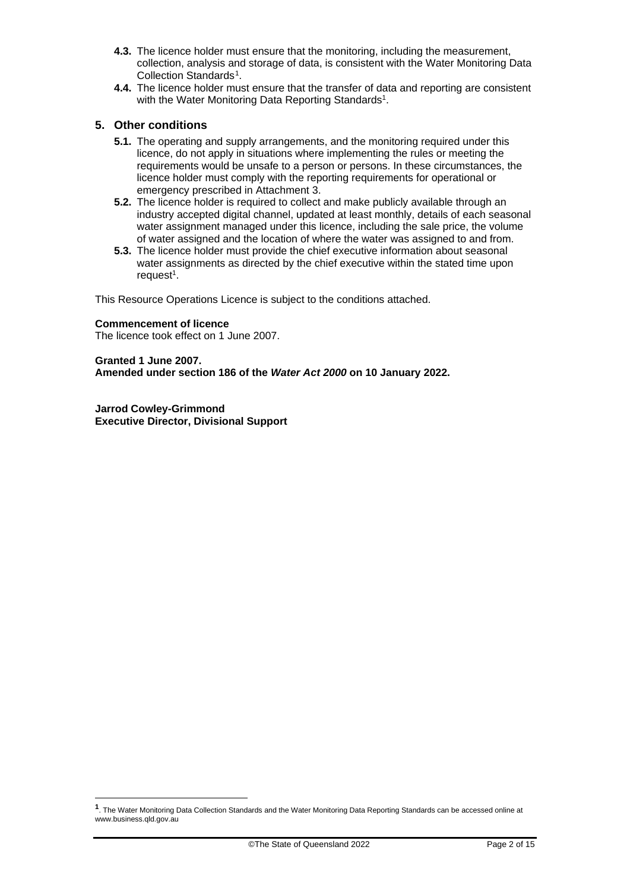- **4.3.** The licence holder must ensure that the monitoring, including the measurement, collection, analysis and storage of data, is consistent with the Water Monitoring Data Collection Standards<sup>1</sup>.
- **4.4.** The licence holder must ensure that the transfer of data and reporting are consistent with the Water Monitoring Data Reporting Standards<sup>1</sup>.

### **5. Other conditions**

- **5.1.** The operating and supply arrangements, and the monitoring required under this licence, do not apply in situations where implementing the rules or meeting the requirements would be unsafe to a person or persons. In these circumstances, the licence holder must comply with the reporting requirements for operational or emergency prescribed in Attachment 3.
- **5.2.** The licence holder is required to collect and make publicly available through an industry accepted digital channel, updated at least monthly, details of each seasonal water assignment managed under this licence, including the sale price, the volume of water assigned and the location of where the water was assigned to and from.
- **5.3.** The licence holder must provide the chief executive information about seasonal water assignments as directed by the chief executive within the stated time upon request $1$ .

This Resource Operations Licence is subject to the conditions attached.

#### **Commencement of licence**

The licence took effect on 1 June 2007.

#### **Granted 1 June 2007.**

**Amended under section 186 of the** *Water Act 2000* **on 10 January 2022.**

**Jarrod Cowley-Grimmond Executive Director, Divisional Support**

<span id="page-1-0"></span>**<sup>1</sup>**. The Water Monitoring Data Collection Standards and the Water Monitoring Data Reporting Standards can be accessed online at www.business.qld.gov.au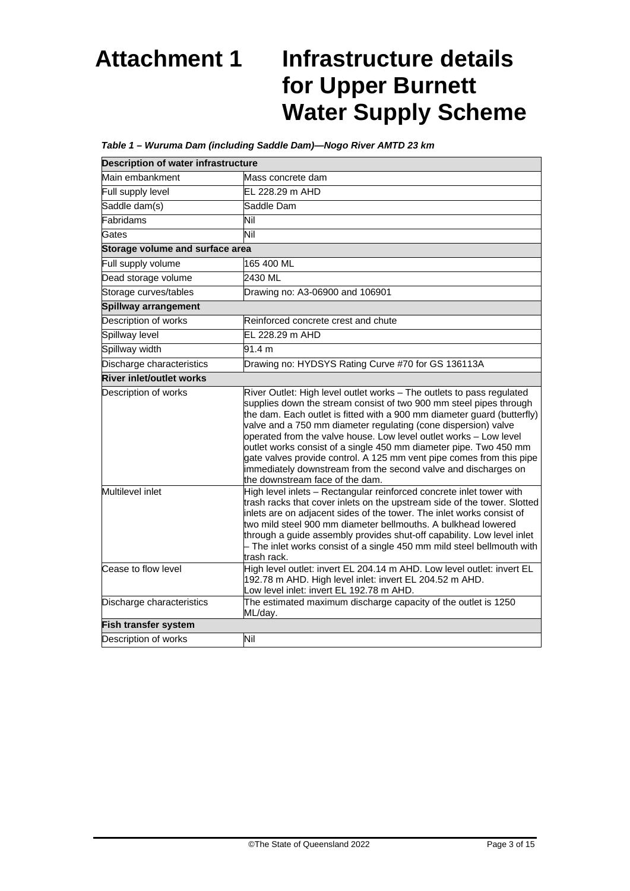## **Attachment 1 Infrastructure details for Upper Burnett Water Supply Scheme**

### *Table 1 – Wuruma Dam (including Saddle Dam)—Nogo River AMTD 23 km*

| <b>Description of water infrastructure</b> |                                                                                                                                                                                                                                                                                                                                                                                                                                                                                                                                                                                                                 |  |  |
|--------------------------------------------|-----------------------------------------------------------------------------------------------------------------------------------------------------------------------------------------------------------------------------------------------------------------------------------------------------------------------------------------------------------------------------------------------------------------------------------------------------------------------------------------------------------------------------------------------------------------------------------------------------------------|--|--|
| Main embankment                            | Mass concrete dam                                                                                                                                                                                                                                                                                                                                                                                                                                                                                                                                                                                               |  |  |
| Full supply level                          | EL 228.29 m AHD                                                                                                                                                                                                                                                                                                                                                                                                                                                                                                                                                                                                 |  |  |
| Saddle dam(s)                              | Saddle Dam                                                                                                                                                                                                                                                                                                                                                                                                                                                                                                                                                                                                      |  |  |
| Fabridams                                  | Nil                                                                                                                                                                                                                                                                                                                                                                                                                                                                                                                                                                                                             |  |  |
| Gates                                      | ĪМ                                                                                                                                                                                                                                                                                                                                                                                                                                                                                                                                                                                                              |  |  |
| Storage volume and surface area            |                                                                                                                                                                                                                                                                                                                                                                                                                                                                                                                                                                                                                 |  |  |
| Full supply volume                         | 165 400 ML                                                                                                                                                                                                                                                                                                                                                                                                                                                                                                                                                                                                      |  |  |
| Dead storage volume                        | 2430 ML                                                                                                                                                                                                                                                                                                                                                                                                                                                                                                                                                                                                         |  |  |
| Storage curves/tables                      | Drawing no: A3-06900 and 106901                                                                                                                                                                                                                                                                                                                                                                                                                                                                                                                                                                                 |  |  |
| Spillway arrangement                       |                                                                                                                                                                                                                                                                                                                                                                                                                                                                                                                                                                                                                 |  |  |
| Description of works                       | Reinforced concrete crest and chute                                                                                                                                                                                                                                                                                                                                                                                                                                                                                                                                                                             |  |  |
| Spillway level                             | EL 228.29 m AHD                                                                                                                                                                                                                                                                                                                                                                                                                                                                                                                                                                                                 |  |  |
| Spillway width                             | 91.4 m                                                                                                                                                                                                                                                                                                                                                                                                                                                                                                                                                                                                          |  |  |
| Discharge characteristics                  | Drawing no: HYDSYS Rating Curve #70 for GS 136113A                                                                                                                                                                                                                                                                                                                                                                                                                                                                                                                                                              |  |  |
| <b>River inlet/outlet works</b>            |                                                                                                                                                                                                                                                                                                                                                                                                                                                                                                                                                                                                                 |  |  |
| Description of works                       | River Outlet: High level outlet works - The outlets to pass regulated<br>supplies down the stream consist of two 900 mm steel pipes through<br>the dam. Each outlet is fitted with a 900 mm diameter guard (butterfly)<br>valve and a 750 mm diameter regulating (cone dispersion) valve<br>operated from the valve house. Low level outlet works - Low level<br>outlet works consist of a single 450 mm diameter pipe. Two 450 mm<br>gate valves provide control. A 125 mm vent pipe comes from this pipe<br>immediately downstream from the second valve and discharges on<br>the downstream face of the dam. |  |  |
| Multilevel inlet                           | High level inlets - Rectangular reinforced concrete inlet tower with<br>trash racks that cover inlets on the upstream side of the tower. Slotted<br>inlets are on adjacent sides of the tower. The inlet works consist of<br>two mild steel 900 mm diameter bellmouths. A bulkhead lowered<br>through a guide assembly provides shut-off capability. Low level inlet<br>- The inlet works consist of a single 450 mm mild steel bellmouth with<br>trash rack.                                                                                                                                                   |  |  |
| Cease to flow level                        | High level outlet: invert EL 204.14 m AHD. Low level outlet: invert EL<br>192.78 m AHD. High level inlet: invert EL 204.52 m AHD.<br>Low level inlet: invert EL 192.78 m AHD.                                                                                                                                                                                                                                                                                                                                                                                                                                   |  |  |
| Discharge characteristics                  | The estimated maximum discharge capacity of the outlet is 1250<br>ML/day.                                                                                                                                                                                                                                                                                                                                                                                                                                                                                                                                       |  |  |
| <b>Fish transfer system</b>                |                                                                                                                                                                                                                                                                                                                                                                                                                                                                                                                                                                                                                 |  |  |
| Description of works                       | Nil                                                                                                                                                                                                                                                                                                                                                                                                                                                                                                                                                                                                             |  |  |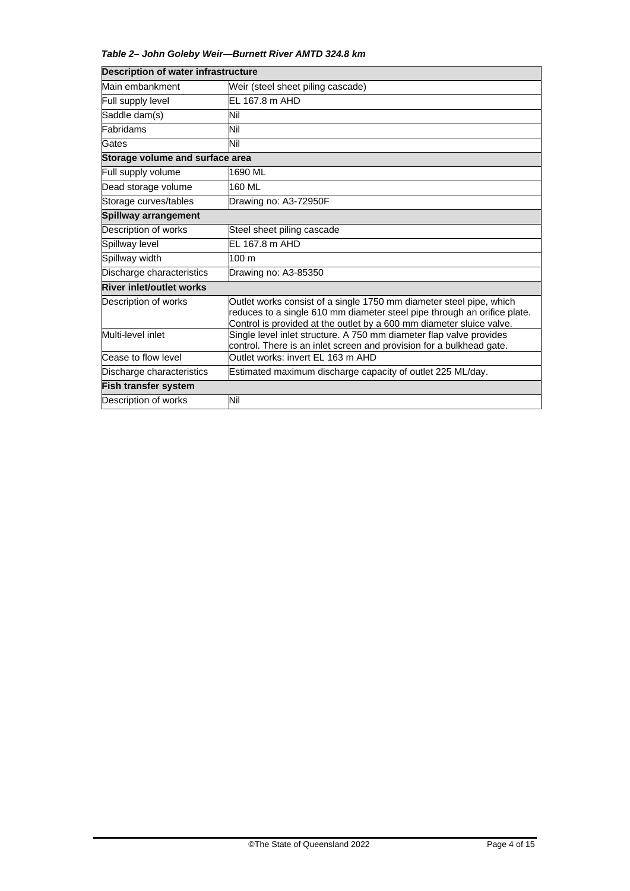### *Table 2– John Goleby Weir—Burnett River AMTD 324.8 km*

| <b>Description of water infrastructure</b> |                                                                                                                                                                                                                         |
|--------------------------------------------|-------------------------------------------------------------------------------------------------------------------------------------------------------------------------------------------------------------------------|
| Main embankment                            | Weir (steel sheet piling cascade)                                                                                                                                                                                       |
| Full supply level                          | EL 167.8 m AHD                                                                                                                                                                                                          |
| Saddle dam(s)                              | Nil                                                                                                                                                                                                                     |
| Fabridams                                  | Nil                                                                                                                                                                                                                     |
| Gates                                      | Nil                                                                                                                                                                                                                     |
| Storage volume and surface area            |                                                                                                                                                                                                                         |
| Full supply volume                         | 1690 ML                                                                                                                                                                                                                 |
| Dead storage volume                        | 160 ML                                                                                                                                                                                                                  |
| Storage curves/tables                      | Drawing no: A3-72950F                                                                                                                                                                                                   |
| <b>Spillway arrangement</b>                |                                                                                                                                                                                                                         |
| Description of works                       | Steel sheet piling cascade                                                                                                                                                                                              |
| Spillway level                             | EL 167.8 m AHD                                                                                                                                                                                                          |
| Spillway width                             | 100 m                                                                                                                                                                                                                   |
| Discharge characteristics                  | Drawing no: A3-85350                                                                                                                                                                                                    |
| <b>River inlet/outlet works</b>            |                                                                                                                                                                                                                         |
| Description of works                       | Outlet works consist of a single 1750 mm diameter steel pipe, which<br>reduces to a single 610 mm diameter steel pipe through an orifice plate.<br>Control is provided at the outlet by a 600 mm diameter sluice valve. |
| Multi-level inlet                          | Single level inlet structure. A 750 mm diameter flap valve provides<br>control. There is an inlet screen and provision for a bulkhead gate.                                                                             |
| Cease to flow level                        | Outlet works: invert EL 163 m AHD                                                                                                                                                                                       |
| Discharge characteristics                  | Estimated maximum discharge capacity of outlet 225 ML/day.                                                                                                                                                              |
| <b>Fish transfer system</b>                |                                                                                                                                                                                                                         |
| Description of works                       | Nil                                                                                                                                                                                                                     |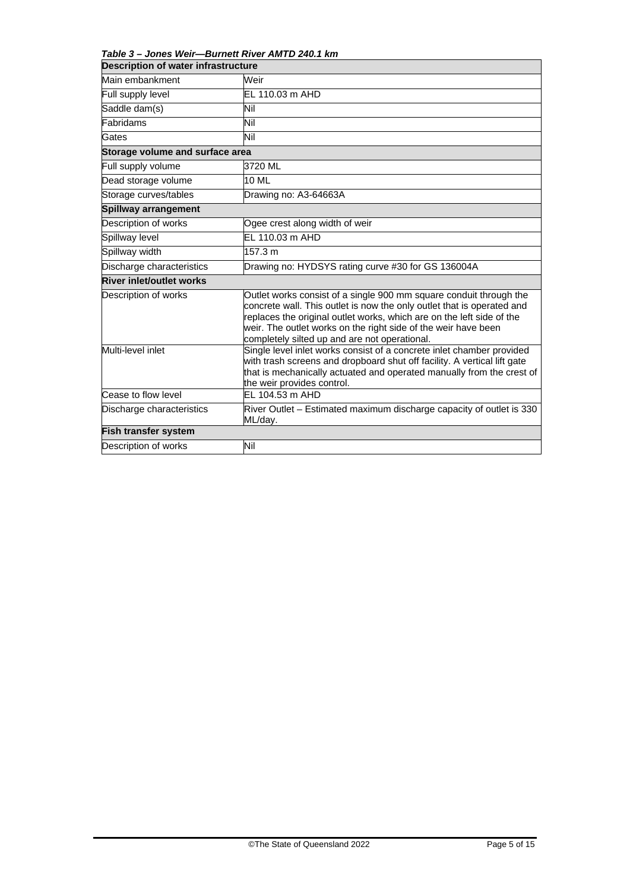*Table 3 – Jones Weir—Burnett River AMTD 240.1 km*

| <b>Description of water infrastructure</b>                                      |                                                                                                                                                                                                                                                                                                                                          |  |
|---------------------------------------------------------------------------------|------------------------------------------------------------------------------------------------------------------------------------------------------------------------------------------------------------------------------------------------------------------------------------------------------------------------------------------|--|
| Main embankment                                                                 | Weir                                                                                                                                                                                                                                                                                                                                     |  |
| Full supply level                                                               | EL 110.03 m AHD                                                                                                                                                                                                                                                                                                                          |  |
| Saddle dam(s)                                                                   | Nil                                                                                                                                                                                                                                                                                                                                      |  |
| Fabridams                                                                       | Nil                                                                                                                                                                                                                                                                                                                                      |  |
| Gates                                                                           | Nil                                                                                                                                                                                                                                                                                                                                      |  |
| Storage volume and surface area                                                 |                                                                                                                                                                                                                                                                                                                                          |  |
| Full supply volume                                                              | 3720 ML                                                                                                                                                                                                                                                                                                                                  |  |
| Dead storage volume                                                             | 10 ML                                                                                                                                                                                                                                                                                                                                    |  |
| Storage curves/tables                                                           | Drawing no: A3-64663A                                                                                                                                                                                                                                                                                                                    |  |
| <b>Spillway arrangement</b>                                                     |                                                                                                                                                                                                                                                                                                                                          |  |
| Description of works                                                            | Ogee crest along width of weir                                                                                                                                                                                                                                                                                                           |  |
| Spillway level                                                                  | EL 110.03 m AHD                                                                                                                                                                                                                                                                                                                          |  |
| Spillway width                                                                  | 157.3 m                                                                                                                                                                                                                                                                                                                                  |  |
| Drawing no: HYDSYS rating curve #30 for GS 136004A<br>Discharge characteristics |                                                                                                                                                                                                                                                                                                                                          |  |
| <b>River inlet/outlet works</b>                                                 |                                                                                                                                                                                                                                                                                                                                          |  |
| Description of works                                                            | Outlet works consist of a single 900 mm square conduit through the<br>concrete wall. This outlet is now the only outlet that is operated and<br>replaces the original outlet works, which are on the left side of the<br>weir. The outlet works on the right side of the weir have been<br>completely silted up and are not operational. |  |
| Multi-level inlet                                                               | Single level inlet works consist of a concrete inlet chamber provided<br>with trash screens and dropboard shut off facility. A vertical lift gate<br>that is mechanically actuated and operated manually from the crest of<br>the weir provides control.                                                                                 |  |
| Cease to flow level                                                             | EL 104.53 m AHD                                                                                                                                                                                                                                                                                                                          |  |
| Discharge characteristics                                                       | River Outlet - Estimated maximum discharge capacity of outlet is 330<br>ML/day.                                                                                                                                                                                                                                                          |  |
| <b>Fish transfer system</b>                                                     |                                                                                                                                                                                                                                                                                                                                          |  |
| Description of works                                                            | Nil                                                                                                                                                                                                                                                                                                                                      |  |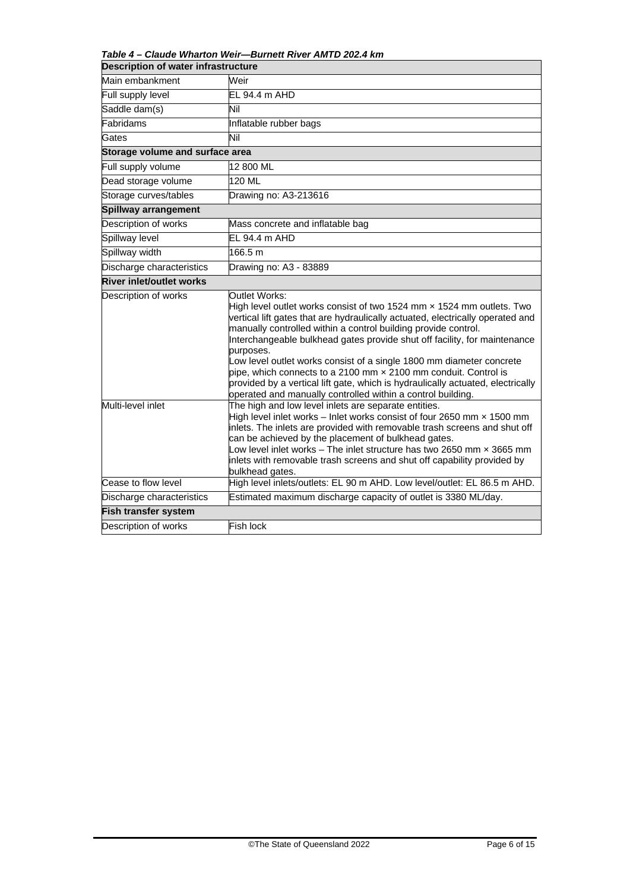*Table 4 – Claude Wharton Weir—Burnett River AMTD 202.4 km*

| <b>Description of water infrastructure</b> |                                                                                                                                                                                                                                                                                                                                                                                                                                                                                                                                                                                                                                                                                                                                                                                                                                                                                                                                                                                                                                                                                             |  |  |
|--------------------------------------------|---------------------------------------------------------------------------------------------------------------------------------------------------------------------------------------------------------------------------------------------------------------------------------------------------------------------------------------------------------------------------------------------------------------------------------------------------------------------------------------------------------------------------------------------------------------------------------------------------------------------------------------------------------------------------------------------------------------------------------------------------------------------------------------------------------------------------------------------------------------------------------------------------------------------------------------------------------------------------------------------------------------------------------------------------------------------------------------------|--|--|
| Main embankment                            | Weir                                                                                                                                                                                                                                                                                                                                                                                                                                                                                                                                                                                                                                                                                                                                                                                                                                                                                                                                                                                                                                                                                        |  |  |
| Full supply level                          | EL 94.4 m AHD                                                                                                                                                                                                                                                                                                                                                                                                                                                                                                                                                                                                                                                                                                                                                                                                                                                                                                                                                                                                                                                                               |  |  |
| Saddle dam(s)                              | Nil                                                                                                                                                                                                                                                                                                                                                                                                                                                                                                                                                                                                                                                                                                                                                                                                                                                                                                                                                                                                                                                                                         |  |  |
| Fabridams                                  | Inflatable rubber bags                                                                                                                                                                                                                                                                                                                                                                                                                                                                                                                                                                                                                                                                                                                                                                                                                                                                                                                                                                                                                                                                      |  |  |
| Gates                                      | Nil                                                                                                                                                                                                                                                                                                                                                                                                                                                                                                                                                                                                                                                                                                                                                                                                                                                                                                                                                                                                                                                                                         |  |  |
| Storage volume and surface area            |                                                                                                                                                                                                                                                                                                                                                                                                                                                                                                                                                                                                                                                                                                                                                                                                                                                                                                                                                                                                                                                                                             |  |  |
| Full supply volume                         | 12 800 ML                                                                                                                                                                                                                                                                                                                                                                                                                                                                                                                                                                                                                                                                                                                                                                                                                                                                                                                                                                                                                                                                                   |  |  |
| Dead storage volume                        | 120 ML                                                                                                                                                                                                                                                                                                                                                                                                                                                                                                                                                                                                                                                                                                                                                                                                                                                                                                                                                                                                                                                                                      |  |  |
| Storage curves/tables                      | Drawing no: A3-213616                                                                                                                                                                                                                                                                                                                                                                                                                                                                                                                                                                                                                                                                                                                                                                                                                                                                                                                                                                                                                                                                       |  |  |
| <b>Spillway arrangement</b>                |                                                                                                                                                                                                                                                                                                                                                                                                                                                                                                                                                                                                                                                                                                                                                                                                                                                                                                                                                                                                                                                                                             |  |  |
| Description of works                       | Mass concrete and inflatable bag                                                                                                                                                                                                                                                                                                                                                                                                                                                                                                                                                                                                                                                                                                                                                                                                                                                                                                                                                                                                                                                            |  |  |
| Spillway level                             | EL 94.4 m AHD                                                                                                                                                                                                                                                                                                                                                                                                                                                                                                                                                                                                                                                                                                                                                                                                                                                                                                                                                                                                                                                                               |  |  |
| Spillway width                             | 166.5 m                                                                                                                                                                                                                                                                                                                                                                                                                                                                                                                                                                                                                                                                                                                                                                                                                                                                                                                                                                                                                                                                                     |  |  |
| Discharge characteristics                  | Drawing no: A3 - 83889                                                                                                                                                                                                                                                                                                                                                                                                                                                                                                                                                                                                                                                                                                                                                                                                                                                                                                                                                                                                                                                                      |  |  |
| <b>River inlet/outlet works</b>            |                                                                                                                                                                                                                                                                                                                                                                                                                                                                                                                                                                                                                                                                                                                                                                                                                                                                                                                                                                                                                                                                                             |  |  |
| Description of works<br>Multi-level inlet  | Outlet Works:<br>High level outlet works consist of two 1524 mm $\times$ 1524 mm outlets. Two<br>vertical lift gates that are hydraulically actuated, electrically operated and<br>manually controlled within a control building provide control.<br>Interchangeable bulkhead gates provide shut off facility, for maintenance<br>purposes.<br>Low level outlet works consist of a single 1800 mm diameter concrete<br>pipe, which connects to a 2100 mm $\times$ 2100 mm conduit. Control is<br>provided by a vertical lift gate, which is hydraulically actuated, electrically<br>operated and manually controlled within a control building.<br>The high and low level inlets are separate entities.<br>High level inlet works $-$ Inlet works consist of four 2650 mm $\times$ 1500 mm<br>inlets. The inlets are provided with removable trash screens and shut off<br>can be achieved by the placement of bulkhead gates.<br>Low level inlet works $-$ The inlet structure has two 2650 mm $\times$ 3665 mm<br>inlets with removable trash screens and shut off capability provided by |  |  |
| Cease to flow level                        | bulkhead gates.<br>High level inlets/outlets: EL 90 m AHD. Low level/outlet: EL 86.5 m AHD.                                                                                                                                                                                                                                                                                                                                                                                                                                                                                                                                                                                                                                                                                                                                                                                                                                                                                                                                                                                                 |  |  |
| Discharge characteristics                  | Estimated maximum discharge capacity of outlet is 3380 ML/day.                                                                                                                                                                                                                                                                                                                                                                                                                                                                                                                                                                                                                                                                                                                                                                                                                                                                                                                                                                                                                              |  |  |
| <b>Fish transfer system</b>                |                                                                                                                                                                                                                                                                                                                                                                                                                                                                                                                                                                                                                                                                                                                                                                                                                                                                                                                                                                                                                                                                                             |  |  |
| Description of works                       | Fish lock                                                                                                                                                                                                                                                                                                                                                                                                                                                                                                                                                                                                                                                                                                                                                                                                                                                                                                                                                                                                                                                                                   |  |  |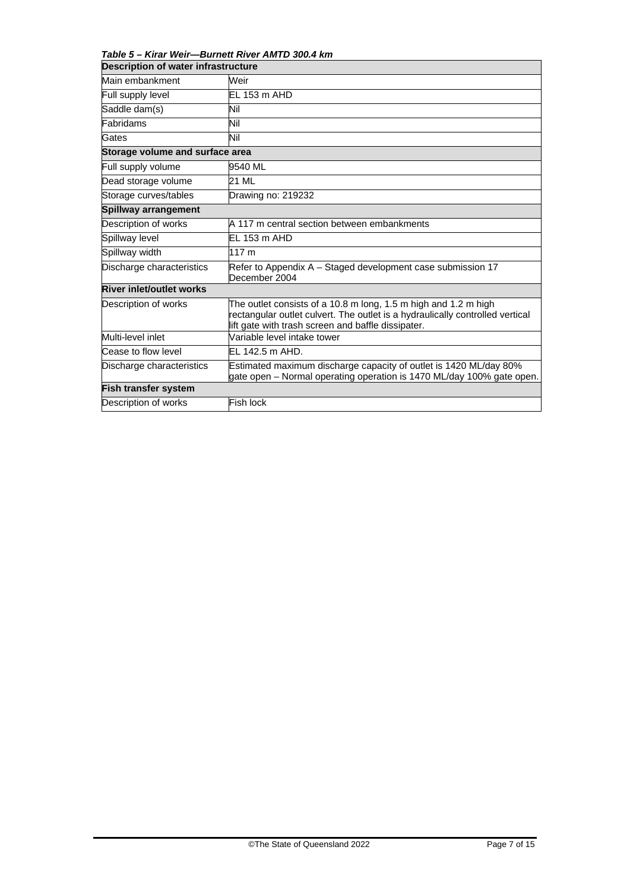*Table 5 – Kirar Weir—Burnett River AMTD 300.4 km*

| <b>Description of water infrastructure</b> |                                                                                                                                                                                                        |  |
|--------------------------------------------|--------------------------------------------------------------------------------------------------------------------------------------------------------------------------------------------------------|--|
| Main embankment                            | Weir                                                                                                                                                                                                   |  |
| Full supply level                          | EL 153 m AHD                                                                                                                                                                                           |  |
| Saddle dam(s)                              | Nil                                                                                                                                                                                                    |  |
| Fabridams                                  | Nil                                                                                                                                                                                                    |  |
| Gates                                      | Nil                                                                                                                                                                                                    |  |
| Storage volume and surface area            |                                                                                                                                                                                                        |  |
| Full supply volume                         | 9540 ML                                                                                                                                                                                                |  |
| Dead storage volume                        | 21 ML                                                                                                                                                                                                  |  |
| Storage curves/tables                      | Drawing no: 219232                                                                                                                                                                                     |  |
| Spillway arrangement                       |                                                                                                                                                                                                        |  |
| Description of works                       | A 117 m central section between embankments                                                                                                                                                            |  |
| Spillway level                             | EL 153 m AHD                                                                                                                                                                                           |  |
| Spillway width                             | 117 m                                                                                                                                                                                                  |  |
| Discharge characteristics                  | Refer to Appendix A – Staged development case submission 17<br>December 2004                                                                                                                           |  |
| <b>River inlet/outlet works</b>            |                                                                                                                                                                                                        |  |
| Description of works                       | The outlet consists of a 10.8 m long, 1.5 m high and 1.2 m high<br>rectangular outlet culvert. The outlet is a hydraulically controlled vertical<br>lift gate with trash screen and baffle dissipater. |  |
| Multi-level inlet                          | Variable level intake tower                                                                                                                                                                            |  |
| Cease to flow level                        | EL 142.5 m AHD.                                                                                                                                                                                        |  |
| Discharge characteristics                  | Estimated maximum discharge capacity of outlet is 1420 ML/day 80%<br>gate open - Normal operating operation is 1470 ML/day 100% gate open.                                                             |  |
| Fish transfer system                       |                                                                                                                                                                                                        |  |
| Description of works                       | Fish lock                                                                                                                                                                                              |  |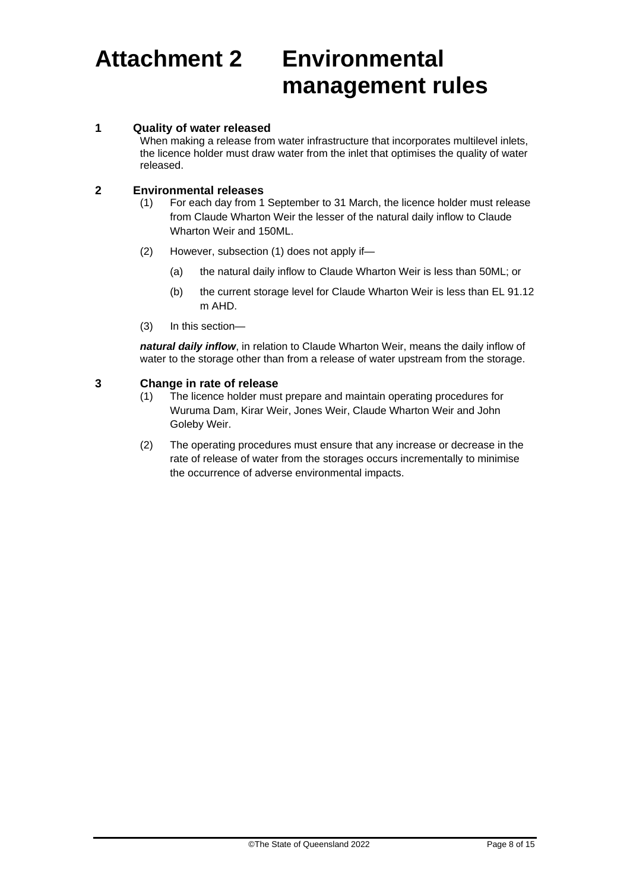## **Attachment 2 Environmental management rules**

### **1 Quality of water released**

When making a release from water infrastructure that incorporates multilevel inlets, the licence holder must draw water from the inlet that optimises the quality of water released.

## **2 Environmental releases**

- For each day from 1 September to 31 March, the licence holder must release from Claude Wharton Weir the lesser of the natural daily inflow to Claude Wharton Weir and 150ML.
- (2) However, subsection (1) does not apply if—
	- (a) the natural daily inflow to Claude Wharton Weir is less than 50ML; or
	- (b) the current storage level for Claude Wharton Weir is less than EL 91.12 m AHD.
- (3) In this section—

*natural daily inflow*, in relation to Claude Wharton Weir, means the daily inflow of water to the storage other than from a release of water upstream from the storage.

### **3 Change in rate of release**

- (1) The licence holder must prepare and maintain operating procedures for Wuruma Dam, Kirar Weir, Jones Weir, Claude Wharton Weir and John Goleby Weir.
- (2) The operating procedures must ensure that any increase or decrease in the rate of release of water from the storages occurs incrementally to minimise the occurrence of adverse environmental impacts.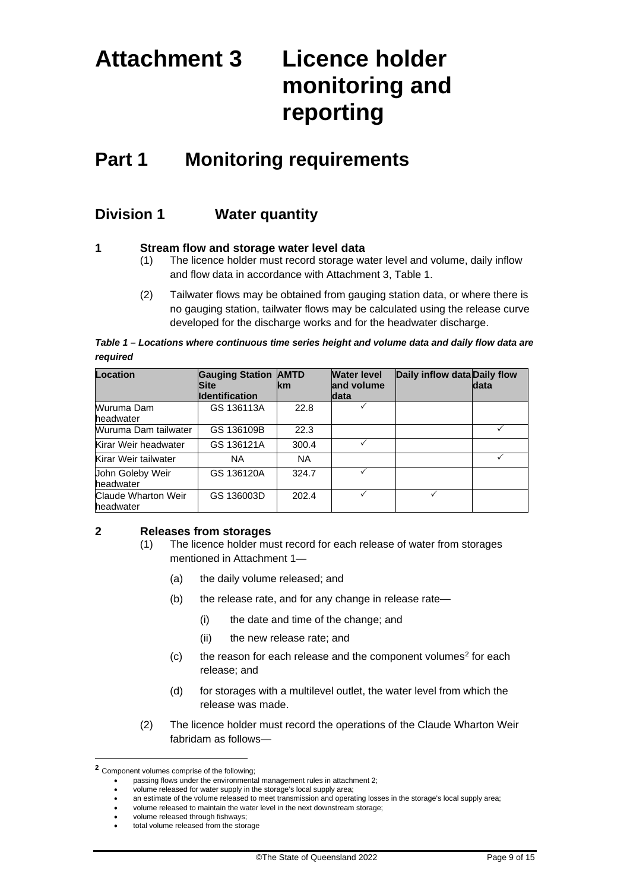# **Attachment 3 Licence holder monitoring and reporting**

## **Part 1 Monitoring requirements**

### **Division 1 Water quantity**

### **1 Stream flow and storage water level data**

- (1) The licence holder must record storage water level and volume, daily inflow and flow data in accordance with Attachment 3, Table 1.
- (2) Tailwater flows may be obtained from gauging station data, or where there is no gauging station, tailwater flows may be calculated using the release curve developed for the discharge works and for the headwater discharge.

*Table 1 – Locations where continuous time series height and volume data and daily flow data are required*

| <b>Location</b>                  | <b>Gauging Station AMTD</b><br><b>Site</b> | <b>Ikm</b> | <b>Water level</b><br>and volume | Daily inflow data Daily flow | data |
|----------------------------------|--------------------------------------------|------------|----------------------------------|------------------------------|------|
|                                  | <b>Identification</b>                      |            | <b>data</b>                      |                              |      |
| Wuruma Dam<br>headwater          | GS 136113A                                 | 22.8       |                                  |                              |      |
| Wuruma Dam tailwater             | GS 136109B                                 | 22.3       |                                  |                              |      |
| Kirar Weir headwater             | GS 136121A                                 | 300.4      |                                  |                              |      |
| Kirar Weir tailwater             | <b>NA</b>                                  | <b>NA</b>  |                                  |                              |      |
| John Goleby Weir<br>headwater    | GS 136120A                                 | 324.7      |                                  |                              |      |
| Claude Wharton Weir<br>headwater | GS 136003D                                 | 202.4      |                                  |                              |      |

### **2 Releases from storages**

- (1) The licence holder must record for each release of water from storages mentioned in Attachment 1—
	- (a) the daily volume released; and
	- (b) the release rate, and for any change in release rate—
		- (i) the date and time of the change; and
		- (ii) the new release rate; and
	- $(c)$  the reason for each release and the component volumes<sup>[2](#page-8-0)</sup> for each release; and
	- (d) for storages with a multilevel outlet, the water level from which the release was made.
- (2) The licence holder must record the operations of the Claude Wharton Weir fabridam as follows—

<span id="page-8-0"></span>**<sup>2</sup>** Component volumes comprise of the following;

<sup>•</sup> passing flows under the environmental management rules in attachment 2;

<sup>•</sup> volume released for water supply in the storage's local supply area;

<sup>•</sup> an estimate of the volume released to meet transmission and operating losses in the storage's local supply area;

<sup>•</sup> volume released to maintain the water level in the next downstream storage;

<sup>•</sup> volume released through fishways;

<sup>•</sup> total volume released from the storage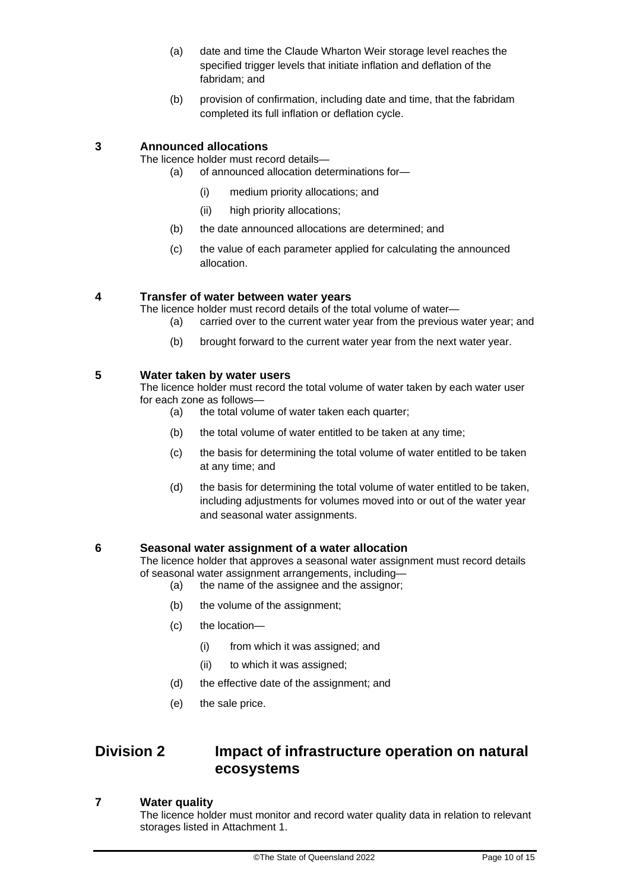- (a) date and time the Claude Wharton Weir storage level reaches the specified trigger levels that initiate inflation and deflation of the fabridam; and
- (b) provision of confirmation, including date and time, that the fabridam completed its full inflation or deflation cycle.

### **3 Announced allocations**

The licence holder must record details—

- (a) of announced allocation determinations for—
	- (i) medium priority allocations; and
	- (ii) high priority allocations;
- (b) the date announced allocations are determined; and
- (c) the value of each parameter applied for calculating the announced allocation.

### **4 Transfer of water between water years**

The licence holder must record details of the total volume of water—

- (a) carried over to the current water year from the previous water year; and
- (b) brought forward to the current water year from the next water year.

### **5 Water taken by water users**

The licence holder must record the total volume of water taken by each water user for each zone as follows—

- (a) the total volume of water taken each quarter;
- (b) the total volume of water entitled to be taken at any time;
- (c) the basis for determining the total volume of water entitled to be taken at any time; and
- (d) the basis for determining the total volume of water entitled to be taken, including adjustments for volumes moved into or out of the water year and seasonal water assignments.

### **6 Seasonal water assignment of a water allocation**

The licence holder that approves a seasonal water assignment must record details of seasonal water assignment arrangements, including—

- (a) the name of the assignee and the assignor;
- (b) the volume of the assignment;
- (c) the location—
	- (i) from which it was assigned; and
	- (ii) to which it was assigned;
- (d) the effective date of the assignment; and
- (e) the sale price.

### **Division 2 Impact of infrastructure operation on natural ecosystems**

### **7 Water quality**

The licence holder must monitor and record water quality data in relation to relevant storages listed in Attachment 1.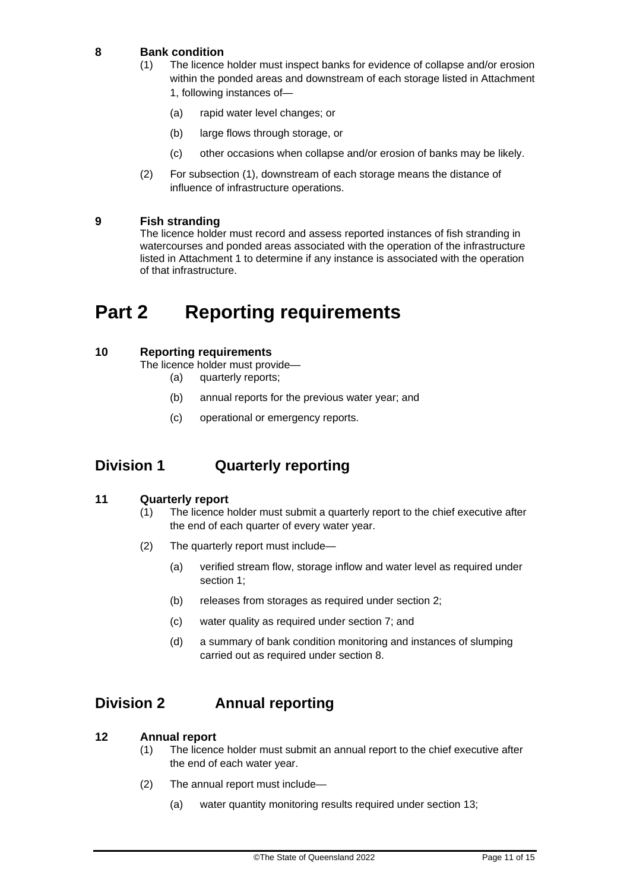### **8 Bank condition**

- (1) The licence holder must inspect banks for evidence of collapse and/or erosion within the ponded areas and downstream of each storage listed in Attachment 1, following instances of—
	- (a) rapid water level changes; or
	- (b) large flows through storage, or
	- (c) other occasions when collapse and/or erosion of banks may be likely.
- (2) For subsection (1), downstream of each storage means the distance of influence of infrastructure operations.

### **9 Fish stranding**

The licence holder must record and assess reported instances of fish stranding in watercourses and ponded areas associated with the operation of the infrastructure listed in Attachment 1 to determine if any instance is associated with the operation of that infrastructure.

## **Part 2 Reporting requirements**

### **10 Reporting requirements**

The licence holder must provide—

- (a) quarterly reports;
- (b) annual reports for the previous water year; and
- (c) operational or emergency reports.

### **Division 1 Quarterly reporting**

### **11 Quarterly report**

- (1) The licence holder must submit a quarterly report to the chief executive after the end of each quarter of every water year.
- (2) The quarterly report must include—
	- (a) verified stream flow, storage inflow and water level as required under section 1;
	- (b) releases from storages as required under section 2;
	- (c) water quality as required under section 7; and
	- (d) a summary of bank condition monitoring and instances of slumping carried out as required under section 8.

### **Division 2 Annual reporting**

### **12 Annual report**

- (1) The licence holder must submit an annual report to the chief executive after the end of each water year.
- (2) The annual report must include—
	- (a) water quantity monitoring results required under section 13;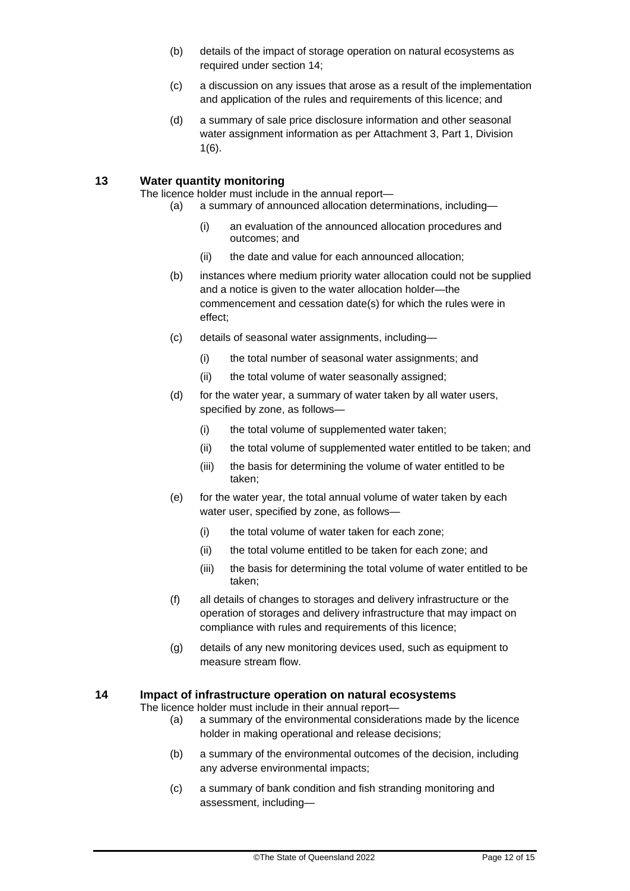- (b) details of the impact of storage operation on natural ecosystems as required under section 14;
- (c) a discussion on any issues that arose as a result of the implementation and application of the rules and requirements of this licence; and
- (d) a summary of sale price disclosure information and other seasonal water assignment information as per Attachment 3, Part 1, Division 1(6).

### **13 Water quantity monitoring**

The licence holder must include in the annual report—

- (a) a summary of announced allocation determinations, including—
	- (i) an evaluation of the announced allocation procedures and outcomes; and
	- (ii) the date and value for each announced allocation;
	- (b) instances where medium priority water allocation could not be supplied and a notice is given to the water allocation holder—the commencement and cessation date(s) for which the rules were in effect;
	- (c) details of seasonal water assignments, including—
		- (i) the total number of seasonal water assignments; and
		- (ii) the total volume of water seasonally assigned;
	- (d) for the water year, a summary of water taken by all water users, specified by zone, as follows—
		- (i) the total volume of supplemented water taken;
		- (ii) the total volume of supplemented water entitled to be taken; and
		- (iii) the basis for determining the volume of water entitled to be taken;
	- (e) for the water year, the total annual volume of water taken by each water user, specified by zone, as follows—
		- (i) the total volume of water taken for each zone;
		- (ii) the total volume entitled to be taken for each zone; and
		- (iii) the basis for determining the total volume of water entitled to be taken;
	- (f) all details of changes to storages and delivery infrastructure or the operation of storages and delivery infrastructure that may impact on compliance with rules and requirements of this licence;
	- (g) details of any new monitoring devices used, such as equipment to measure stream flow.

### **14 Impact of infrastructure operation on natural ecosystems**

The licence holder must include in their annual report—

- (a) a summary of the environmental considerations made by the licence holder in making operational and release decisions;
- (b) a summary of the environmental outcomes of the decision, including any adverse environmental impacts;
- (c) a summary of bank condition and fish stranding monitoring and assessment, including—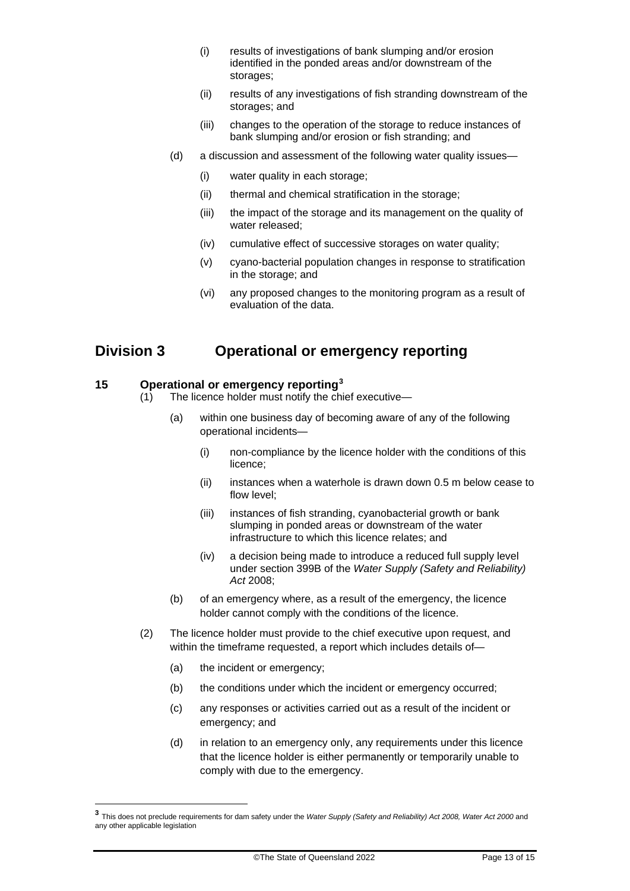- (i) results of investigations of bank slumping and/or erosion identified in the ponded areas and/or downstream of the storages;
- (ii) results of any investigations of fish stranding downstream of the storages; and
- (iii) changes to the operation of the storage to reduce instances of bank slumping and/or erosion or fish stranding; and
- (d) a discussion and assessment of the following water quality issues—
	- (i) water quality in each storage;
	- (ii) thermal and chemical stratification in the storage;
	- (iii) the impact of the storage and its management on the quality of water released;
	- (iv) cumulative effect of successive storages on water quality;
	- (v) cyano-bacterial population changes in response to stratification in the storage; and
	- (vi) any proposed changes to the monitoring program as a result of evaluation of the data.

### **Division 3 Operational or emergency reporting**

### **15 Operational or emergency reporting[3](#page-12-0)**

- (1) The licence holder must notify the chief executive—
	- (a) within one business day of becoming aware of any of the following operational incidents—
		- (i) non-compliance by the licence holder with the conditions of this licence;
		- (ii) instances when a waterhole is drawn down 0.5 m below cease to flow level;
		- (iii) instances of fish stranding, cyanobacterial growth or bank slumping in ponded areas or downstream of the water infrastructure to which this licence relates; and
		- (iv) a decision being made to introduce a reduced full supply level under section 399B of the *Water Supply (Safety and Reliability) Act* 2008;
	- (b) of an emergency where, as a result of the emergency, the licence holder cannot comply with the conditions of the licence.
- (2) The licence holder must provide to the chief executive upon request, and within the timeframe requested, a report which includes details of—
	- (a) the incident or emergency;
	- (b) the conditions under which the incident or emergency occurred;
	- (c) any responses or activities carried out as a result of the incident or emergency; and
	- (d) in relation to an emergency only, any requirements under this licence that the licence holder is either permanently or temporarily unable to comply with due to the emergency.

<span id="page-12-0"></span>**<sup>3</sup>** This does not preclude requirements for dam safety under the *Water Supply (Safety and Reliability) Act 2008, Water Act 2000* and any other applicable legislation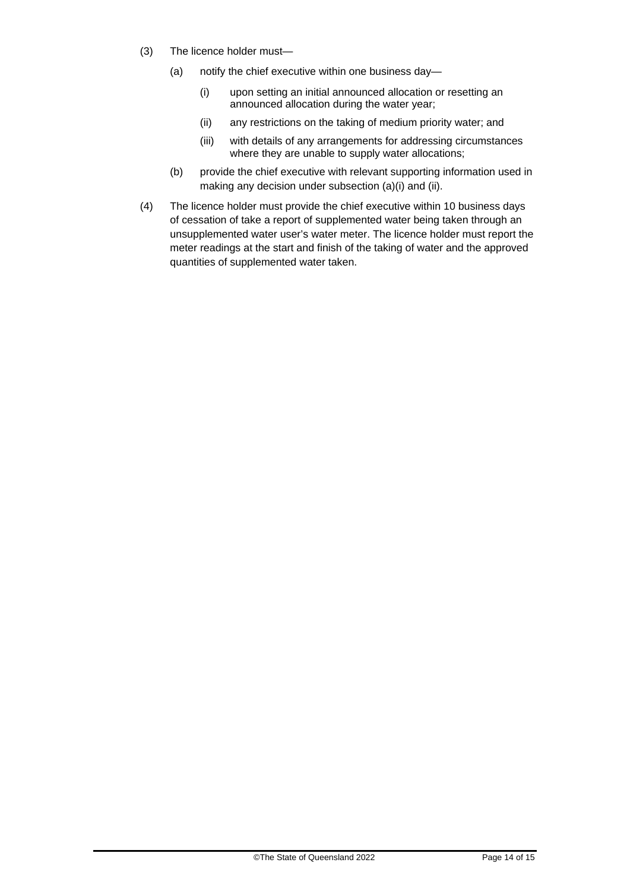- (3) The licence holder must—
	- (a) notify the chief executive within one business day—
		- (i) upon setting an initial announced allocation or resetting an announced allocation during the water year;
		- (ii) any restrictions on the taking of medium priority water; and
		- (iii) with details of any arrangements for addressing circumstances where they are unable to supply water allocations;
	- (b) provide the chief executive with relevant supporting information used in making any decision under subsection (a)(i) and (ii).
- (4) The licence holder must provide the chief executive within 10 business days of cessation of take a report of supplemented water being taken through an unsupplemented water user's water meter. The licence holder must report the meter readings at the start and finish of the taking of water and the approved quantities of supplemented water taken.